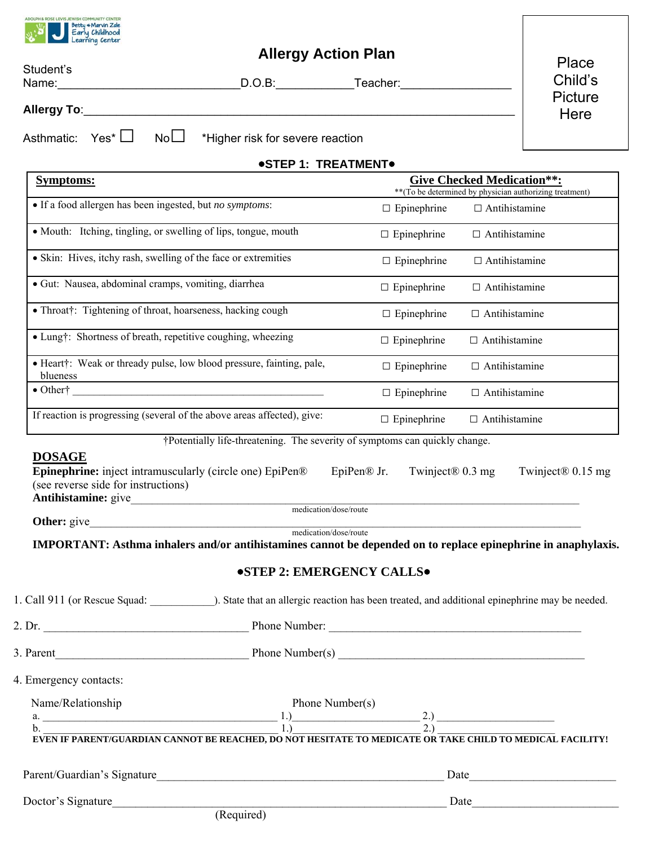

## **Allergy Action Plan**

| Student's              | וושו ו ושוטח עץ וטווח                                                                                                                                                                                                                                                                                                                                                                                                                  |                                                          |                                   |                        |
|------------------------|----------------------------------------------------------------------------------------------------------------------------------------------------------------------------------------------------------------------------------------------------------------------------------------------------------------------------------------------------------------------------------------------------------------------------------------|----------------------------------------------------------|-----------------------------------|------------------------|
|                        |                                                                                                                                                                                                                                                                                                                                                                                                                                        | D.O.B: Teacher:                                          |                                   | Child's                |
| Allergy To:            |                                                                                                                                                                                                                                                                                                                                                                                                                                        |                                                          |                                   | <b>Picture</b><br>Here |
| Asthmatic:             | No<br>$Yes^{\star}$ $\Box$<br>*Higher risk for severe reaction                                                                                                                                                                                                                                                                                                                                                                         |                                                          |                                   |                        |
|                        |                                                                                                                                                                                                                                                                                                                                                                                                                                        | <b>.STEP 1: TREATMENT.</b>                               |                                   |                        |
| <b>Symptoms:</b>       |                                                                                                                                                                                                                                                                                                                                                                                                                                        | ** (To be determined by physician authorizing treatment) | <b>Give Checked Medication**:</b> |                        |
|                        | • If a food allergen has been ingested, but no symptoms:                                                                                                                                                                                                                                                                                                                                                                               | $\Box$ Epinephrine                                       | $\Box$ Antihistamine              |                        |
|                        | • Mouth: Itching, tingling, or swelling of lips, tongue, mouth                                                                                                                                                                                                                                                                                                                                                                         | $\Box$ Epinephrine                                       | $\Box$ Antihistamine              |                        |
|                        | • Skin: Hives, itchy rash, swelling of the face or extremities                                                                                                                                                                                                                                                                                                                                                                         | $\Box$ Epinephrine                                       | $\Box$ Antihistamine              |                        |
|                        | · Gut: Nausea, abdominal cramps, vomiting, diarrhea                                                                                                                                                                                                                                                                                                                                                                                    | $\Box$ Epinephrine                                       | $\Box$ Antihistamine              |                        |
|                        | • Throat†: Tightening of throat, hoarseness, hacking cough                                                                                                                                                                                                                                                                                                                                                                             | $\Box$ Epinephrine                                       | $\Box$ Antihistamine              |                        |
|                        | • Lung†: Shortness of breath, repetitive coughing, wheezing                                                                                                                                                                                                                                                                                                                                                                            | $\Box$ Epinephrine                                       | $\Box$ Antihistamine              |                        |
| blueness               | · Heart†: Weak or thready pulse, low blood pressure, fainting, pale,                                                                                                                                                                                                                                                                                                                                                                   | $\Box$ Epinephrine                                       | $\Box$ Antihistamine              |                        |
|                        | $\bullet$ Other†                                                                                                                                                                                                                                                                                                                                                                                                                       | $\Box$ Epinephrine                                       | $\Box$ Antihistamine              |                        |
|                        | If reaction is progressing (several of the above areas affected), give:                                                                                                                                                                                                                                                                                                                                                                | $\Box$ Epinephrine                                       | $\Box$ Antihistamine              |                        |
|                        | †Potentially life-threatening. The severity of symptoms can quickly change.                                                                                                                                                                                                                                                                                                                                                            |                                                          |                                   |                        |
| <b>DOSAGE</b>          | <b>Epinephrine:</b> inject intramuscularly (circle one) EpiPen®<br>(see reverse side for instructions)                                                                                                                                                                                                                                                                                                                                 | EpiPen <sup>®</sup> Jr.<br>Twinject <sup>®</sup> 0.3 mg  |                                   | Twinject® 0.15 mg      |
| Other: give            |                                                                                                                                                                                                                                                                                                                                                                                                                                        | medication/dose/route                                    |                                   |                        |
|                        | IMPORTANT: Asthma inhalers and/or antihistamines cannot be depended on to replace epinephrine in anaphylaxis.                                                                                                                                                                                                                                                                                                                          | medication/dose/route                                    |                                   |                        |
|                        |                                                                                                                                                                                                                                                                                                                                                                                                                                        |                                                          |                                   |                        |
|                        |                                                                                                                                                                                                                                                                                                                                                                                                                                        | <b>.STEP 2: EMERGENCY CALLS.</b>                         |                                   |                        |
|                        |                                                                                                                                                                                                                                                                                                                                                                                                                                        |                                                          |                                   |                        |
|                        |                                                                                                                                                                                                                                                                                                                                                                                                                                        |                                                          |                                   |                        |
|                        |                                                                                                                                                                                                                                                                                                                                                                                                                                        |                                                          |                                   |                        |
| 4. Emergency contacts: |                                                                                                                                                                                                                                                                                                                                                                                                                                        |                                                          |                                   |                        |
| Name/Relationship      |                                                                                                                                                                                                                                                                                                                                                                                                                                        | Phone Number(s)                                          |                                   |                        |
|                        | a.<br>$\underbrace{1.}$<br>$\underbrace{1.}$<br>$\underbrace{2.}$<br>$\underbrace{2.}$<br>$\underbrace{2.}$<br>$\underbrace{2.}$<br>$\underbrace{2.}$<br>$\underbrace{2.}$<br>$\underbrace{2.}$<br>$\underbrace{2.}$<br>$\underbrace{2.}$<br>$\underbrace{2.}$<br>$\underbrace{2.}$<br>$\underbrace{2.}$<br>$\underbrace{2.}$<br>$\underbrace{2.}$<br>$\underbrace{2.}$<br>$\underbrace{2.}$<br>$\underbrace{2.}$<br>$\underbrace{2.}$ |                                                          |                                   |                        |
|                        |                                                                                                                                                                                                                                                                                                                                                                                                                                        |                                                          |                                   |                        |
|                        |                                                                                                                                                                                                                                                                                                                                                                                                                                        |                                                          |                                   |                        |
| Doctor's Signature     |                                                                                                                                                                                                                                                                                                                                                                                                                                        |                                                          | Date                              |                        |